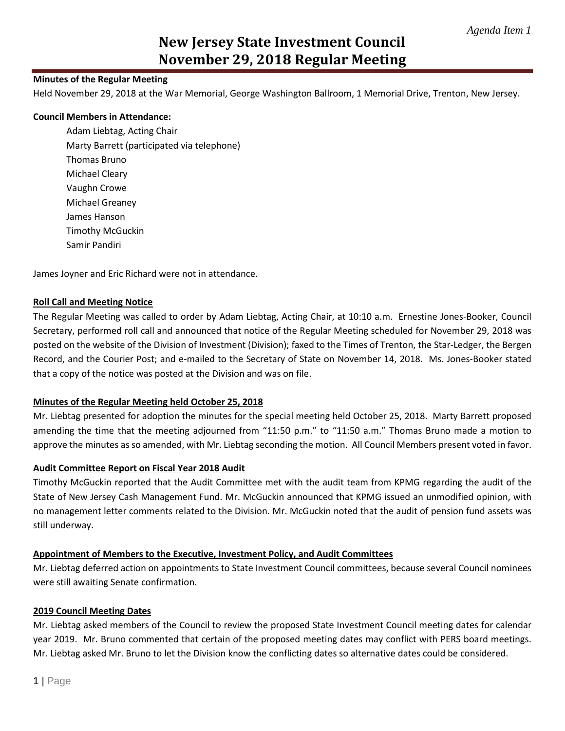# **New Jersey State Investment Council November 29, 2018 Regular Meeting**

# **Minutes of the Regular Meeting**

Held November 29, 2018 at the War Memorial, George Washington Ballroom, 1 Memorial Drive, Trenton, New Jersey.

## **Council Members in Attendance:**

Adam Liebtag, Acting Chair Marty Barrett (participated via telephone) Thomas Bruno Michael Cleary Vaughn Crowe Michael Greaney James Hanson Timothy McGuckin Samir Pandiri

James Joyner and Eric Richard were not in attendance.

### **Roll Call and Meeting Notice**

The Regular Meeting was called to order by Adam Liebtag, Acting Chair, at 10:10 a.m. Ernestine Jones-Booker, Council Secretary, performed roll call and announced that notice of the Regular Meeting scheduled for November 29, 2018 was posted on the website of the Division of Investment (Division); faxed to the Times of Trenton, the Star-Ledger, the Bergen Record, and the Courier Post; and e-mailed to the Secretary of State on November 14, 2018. Ms. Jones-Booker stated that a copy of the notice was posted at the Division and was on file.

### **Minutes of the Regular Meeting held October 25, 2018**

Mr. Liebtag presented for adoption the minutes for the special meeting held October 25, 2018. Marty Barrett proposed amending the time that the meeting adjourned from "11:50 p.m." to "11:50 a.m." Thomas Bruno made a motion to approve the minutes as so amended, with Mr. Liebtag seconding the motion. All Council Members present voted in favor.

## **Audit Committee Report on Fiscal Year 2018 Audit**

Timothy McGuckin reported that the Audit Committee met with the audit team from KPMG regarding the audit of the State of New Jersey Cash Management Fund. Mr. McGuckin announced that KPMG issued an unmodified opinion, with no management letter comments related to the Division. Mr. McGuckin noted that the audit of pension fund assets was still underway.

### **Appointment of Members to the Executive, Investment Policy, and Audit Committees**

Mr. Liebtag deferred action on appointments to State Investment Council committees, because several Council nominees were still awaiting Senate confirmation.

### **2019 Council Meeting Dates**

Mr. Liebtag asked members of the Council to review the proposed State Investment Council meeting dates for calendar year 2019. Mr. Bruno commented that certain of the proposed meeting dates may conflict with PERS board meetings. Mr. Liebtag asked Mr. Bruno to let the Division know the conflicting dates so alternative dates could be considered.